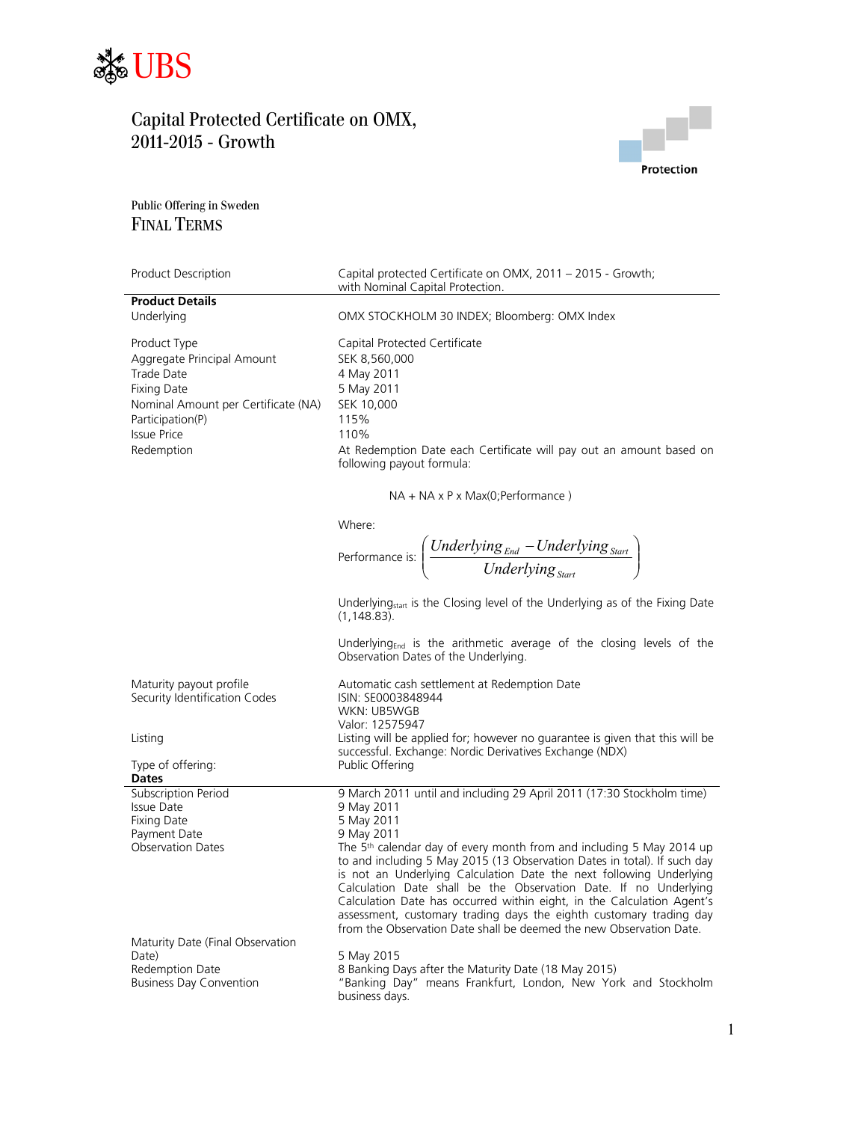



Public Offering in Sweden FINAL TERMS

| Product Description                 | Capital protected Certificate on OMX, 2011 - 2015 - Growth;<br>with Nominal Capital Protection.                                            |
|-------------------------------------|--------------------------------------------------------------------------------------------------------------------------------------------|
| <b>Product Details</b>              |                                                                                                                                            |
| Underlying                          | OMX STOCKHOLM 30 INDEX; Bloomberg: OMX Index                                                                                               |
| Product Type                        | Capital Protected Certificate                                                                                                              |
| Aggregate Principal Amount          | SEK 8,560,000                                                                                                                              |
| Trade Date                          | 4 May 2011                                                                                                                                 |
| <b>Fixing Date</b>                  | 5 May 2011                                                                                                                                 |
| Nominal Amount per Certificate (NA) | SEK 10,000                                                                                                                                 |
| Participation(P)                    | 115%                                                                                                                                       |
| <b>Issue Price</b>                  | 110%                                                                                                                                       |
| Redemption                          | At Redemption Date each Certificate will pay out an amount based on                                                                        |
|                                     | following payout formula:                                                                                                                  |
|                                     | $NA + NA \times P \times Max(O; Performance)$                                                                                              |
|                                     | Where:                                                                                                                                     |
|                                     |                                                                                                                                            |
|                                     | Performance is: $\left(\frac{Underlying_{End} - Underlying_{Start}}{Underlying_{start}}\right)$                                            |
|                                     |                                                                                                                                            |
|                                     | Underlying <sub>start</sub> is the Closing level of the Underlying as of the Fixing Date                                                   |
|                                     | $(1, 148.83)$ .                                                                                                                            |
|                                     | Underlying <sub>End</sub> is the arithmetic average of the closing levels of the<br>Observation Dates of the Underlying.                   |
| Maturity payout profile             | Automatic cash settlement at Redemption Date                                                                                               |
| Security Identification Codes       | ISIN: SE0003848944                                                                                                                         |
|                                     | WKN: UB5WGB                                                                                                                                |
|                                     | Valor: 12575947                                                                                                                            |
| Listing                             | Listing will be applied for; however no guarantee is given that this will be<br>successful. Exchange: Nordic Derivatives Exchange (NDX)    |
| Type of offering:                   | Public Offering                                                                                                                            |
| <b>Dates</b>                        |                                                                                                                                            |
| Subscription Period                 | 9 March 2011 until and including 29 April 2011 (17:30 Stockholm time)                                                                      |
| <b>Issue Date</b>                   | 9 May 2011                                                                                                                                 |
| <b>Fixing Date</b><br>Payment Date  | 5 May 2011<br>9 May 2011                                                                                                                   |
| <b>Observation Dates</b>            | The 5 <sup>th</sup> calendar day of every month from and including 5 May 2014 up                                                           |
|                                     | to and including 5 May 2015 (13 Observation Dates in total). If such day                                                                   |
|                                     | is not an Underlying Calculation Date the next following Underlying                                                                        |
|                                     | Calculation Date shall be the Observation Date. If no Underlying                                                                           |
|                                     | Calculation Date has occurred within eight, in the Calculation Agent's                                                                     |
|                                     | assessment, customary trading days the eighth customary trading day<br>from the Observation Date shall be deemed the new Observation Date. |
| Maturity Date (Final Observation    |                                                                                                                                            |
| Date)                               | 5 May 2015                                                                                                                                 |
| Redemption Date                     | 8 Banking Days after the Maturity Date (18 May 2015)                                                                                       |
| <b>Business Day Convention</b>      | "Banking Day" means Frankfurt, London, New York and Stockholm                                                                              |
|                                     | business days.                                                                                                                             |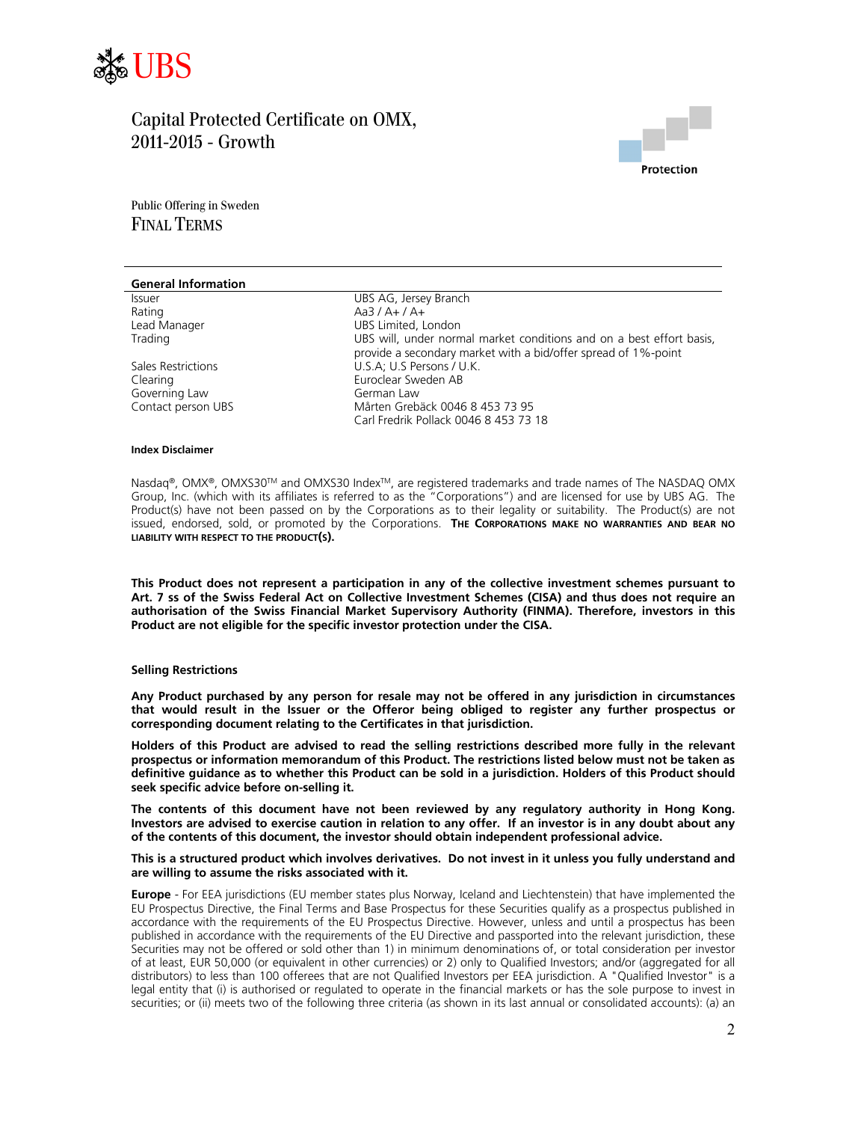



Public Offering in Sweden FINAL TERMS

| <b>General Information</b> |                                                                                                                                        |
|----------------------------|----------------------------------------------------------------------------------------------------------------------------------------|
| <b>Issuer</b>              | UBS AG, Jersey Branch                                                                                                                  |
| Rating                     | Aa3 / A+ / A+                                                                                                                          |
| Lead Manager               | UBS Limited, London                                                                                                                    |
| Trading                    | UBS will, under normal market conditions and on a best effort basis,<br>provide a secondary market with a bid/offer spread of 1%-point |
| Sales Restrictions         | U.S.A; U.S Persons / U.K.                                                                                                              |
| Clearing                   | Euroclear Sweden AB                                                                                                                    |
| Governing Law              | German Law                                                                                                                             |
| Contact person UBS         | Mårten Grebäck 0046 8 453 73 95                                                                                                        |
|                            | Carl Fredrik Pollack 0046 8 453 73 18                                                                                                  |
|                            |                                                                                                                                        |

#### **Index Disclaimer**

Nasdaq®, OMX®, OMXS30™ and OMXS30 Index™, are registered trademarks and trade names of The NASDAQ OMX Group, Inc. (which with its affiliates is referred to as the "Corporations") and are licensed for use by UBS AG. The Product(s) have not been passed on by the Corporations as to their legality or suitability. The Product(s) are not issued, endorsed, sold, or promoted by the Corporations. **THE CORPORATIONS MAKE NO WARRANTIES AND BEAR NO LIABILITY WITH RESPECT TO THE PRODUCT(S).**

**This Product does not represent a participation in any of the collective investment schemes pursuant to Art. 7 ss of the Swiss Federal Act on Collective Investment Schemes (CISA) and thus does not require an authorisation of the Swiss Financial Market Supervisory Authority (FINMA). Therefore, investors in this Product are not eligible for the specific investor protection under the CISA.** 

### **Selling Restrictions**

**Any Product purchased by any person for resale may not be offered in any jurisdiction in circumstances that would result in the Issuer or the Offeror being obliged to register any further prospectus or corresponding document relating to the Certificates in that jurisdiction.** 

**Holders of this Product are advised to read the selling restrictions described more fully in the relevant prospectus or information memorandum of this Product. The restrictions listed below must not be taken as definitive guidance as to whether this Product can be sold in a jurisdiction. Holders of this Product should seek specific advice before on-selling it.** 

**The contents of this document have not been reviewed by any regulatory authority in Hong Kong. Investors are advised to exercise caution in relation to any offer. If an investor is in any doubt about any of the contents of this document, the investor should obtain independent professional advice.** 

### **This is a structured product which involves derivatives. Do not invest in it unless you fully understand and are willing to assume the risks associated with it.**

**Europe** - For EEA jurisdictions (EU member states plus Norway, Iceland and Liechtenstein) that have implemented the EU Prospectus Directive, the Final Terms and Base Prospectus for these Securities qualify as a prospectus published in accordance with the requirements of the EU Prospectus Directive. However, unless and until a prospectus has been published in accordance with the requirements of the EU Directive and passported into the relevant jurisdiction, these Securities may not be offered or sold other than 1) in minimum denominations of, or total consideration per investor of at least, EUR 50,000 (or equivalent in other currencies) or 2) only to Qualified Investors; and/or (aggregated for all distributors) to less than 100 offerees that are not Qualified Investors per EEA jurisdiction. A "Qualified Investor" is a legal entity that (i) is authorised or regulated to operate in the financial markets or has the sole purpose to invest in securities; or (ii) meets two of the following three criteria (as shown in its last annual or consolidated accounts): (a) an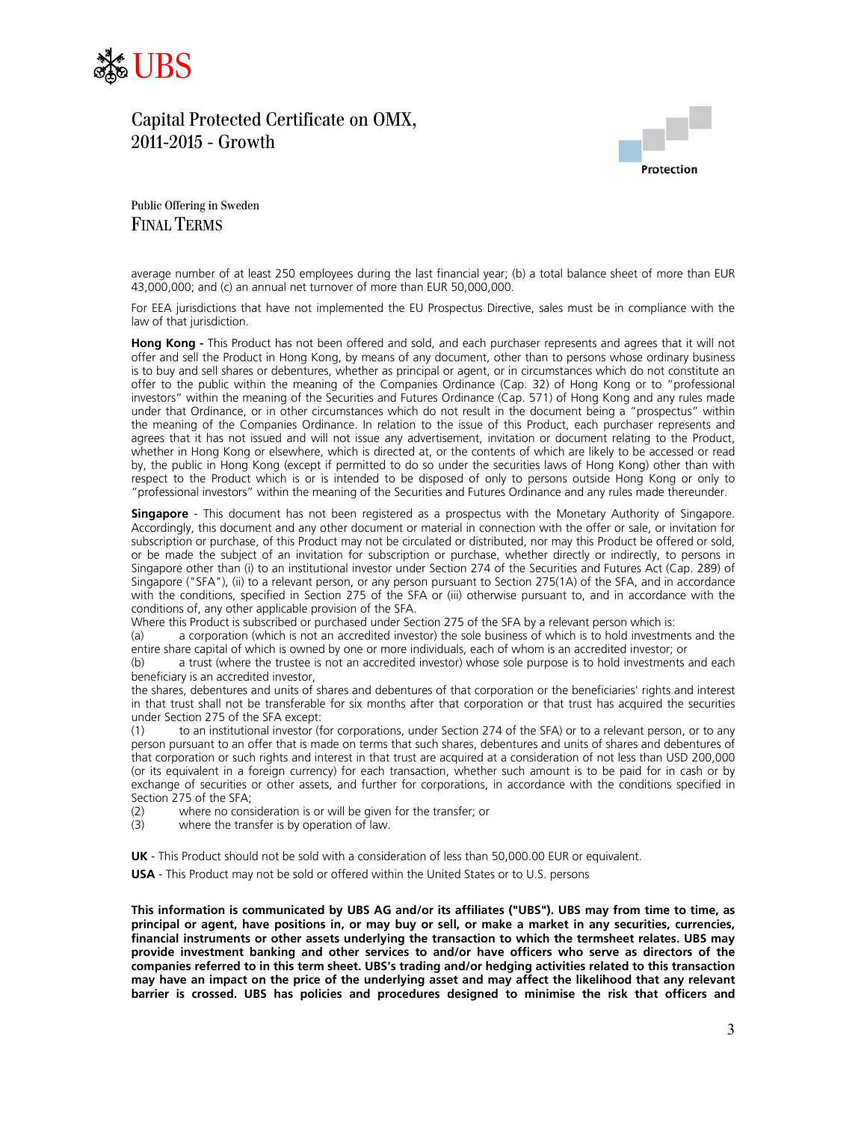



Public Offering in Sweden FINAL TERMS

average number of at least 250 employees during the last financial year; (b) a total balance sheet of more than EUR 43,000,000; and (c) an annual net turnover of more than EUR 50,000,000.

For EEA jurisdictions that have not implemented the EU Prospectus Directive, sales must be in compliance with the law of that jurisdiction.

**Hong Kong -** This Product has not been offered and sold, and each purchaser represents and agrees that it will not offer and sell the Product in Hong Kong, by means of any document, other than to persons whose ordinary business is to buy and sell shares or debentures, whether as principal or agent, or in circumstances which do not constitute an offer to the public within the meaning of the Companies Ordinance (Cap. 32) of Hong Kong or to "professional investors" within the meaning of the Securities and Futures Ordinance (Cap. 571) of Hong Kong and any rules made under that Ordinance, or in other circumstances which do not result in the document being a "prospectus" within the meaning of the Companies Ordinance. In relation to the issue of this Product, each purchaser represents and agrees that it has not issued and will not issue any advertisement, invitation or document relating to the Product, whether in Hong Kong or elsewhere, which is directed at, or the contents of which are likely to be accessed or read by, the public in Hong Kong (except if permitted to do so under the securities laws of Hong Kong) other than with respect to the Product which is or is intended to be disposed of only to persons outside Hong Kong or only to "professional investors" within the meaning of the Securities and Futures Ordinance and any rules made thereunder.

**Singapore** - This document has not been registered as a prospectus with the Monetary Authority of Singapore. Accordingly, this document and any other document or material in connection with the offer or sale, or invitation for subscription or purchase, of this Product may not be circulated or distributed, nor may this Product be offered or sold, or be made the subject of an invitation for subscription or purchase, whether directly or indirectly, to persons in Singapore other than (i) to an institutional investor under Section 274 of the Securities and Futures Act (Cap. 289) of Singapore ("SFA"), (ii) to a relevant person, or any person pursuant to Section 275(1A) of the SFA, and in accordance with the conditions, specified in Section 275 of the SFA or (iii) otherwise pursuant to, and in accordance with the conditions of, any other applicable provision of the SFA.

Where this Product is subscribed or purchased under Section 275 of the SFA by a relevant person which is:

(a) a corporation (which is not an accredited investor) the sole business of which is to hold investments and the entire share capital of which is owned by one or more individuals, each of whom is an accredited investor; or

(b) a trust (where the trustee is not an accredited investor) whose sole purpose is to hold investments and each beneficiary is an accredited investor,

the shares, debentures and units of shares and debentures of that corporation or the beneficiaries' rights and interest in that trust shall not be transferable for six months after that corporation or that trust has acquired the securities under Section 275 of the SFA except:

(1) to an institutional investor (for corporations, under Section 274 of the SFA) or to a relevant person, or to any person pursuant to an offer that is made on terms that such shares, debentures and units of shares and debentures of that corporation or such rights and interest in that trust are acquired at a consideration of not less than USD 200,000 (or its equivalent in a foreign currency) for each transaction, whether such amount is to be paid for in cash or by exchange of securities or other assets, and further for corporations, in accordance with the conditions specified in Section 275 of the SFA;

(2) where no consideration is or will be given for the transfer; or

(3) where the transfer is by operation of law.

**UK** - This Product should not be sold with a consideration of less than 50,000.00 EUR or equivalent.

**USA** - This Product may not be sold or offered within the United States or to U.S. persons

**This information is communicated by UBS AG and/or its affiliates ("UBS"). UBS may from time to time, as principal or agent, have positions in, or may buy or sell, or make a market in any securities, currencies, financial instruments or other assets underlying the transaction to which the termsheet relates. UBS may provide investment banking and other services to and/or have officers who serve as directors of the companies referred to in this term sheet. UBS's trading and/or hedging activities related to this transaction may have an impact on the price of the underlying asset and may affect the likelihood that any relevant barrier is crossed. UBS has policies and procedures designed to minimise the risk that officers and**